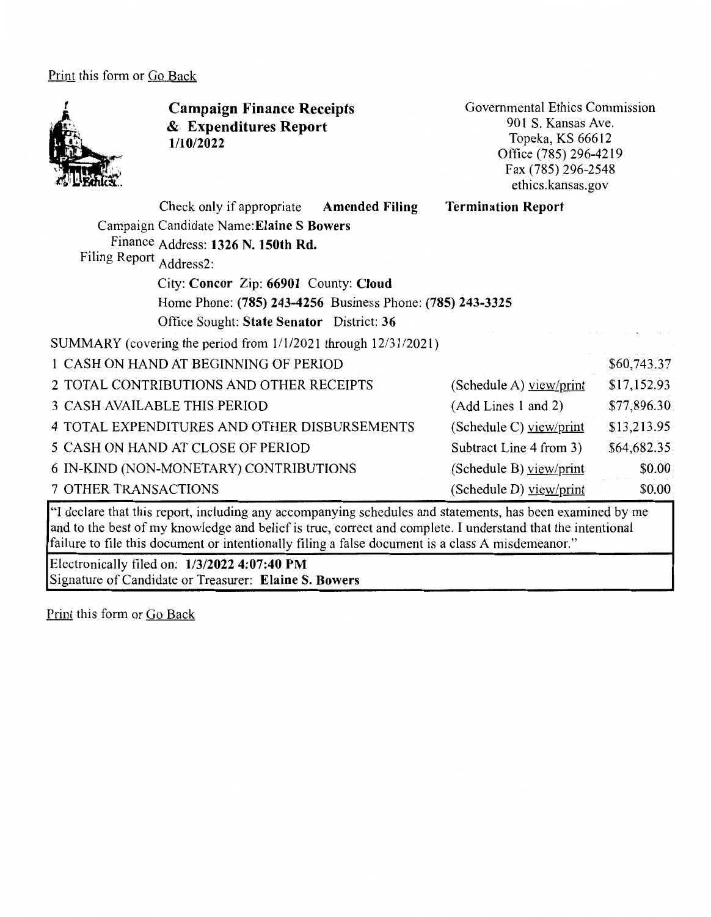Print this form or Go Back



**Campaign Finance Receipts**  & **Expenditures Report 1/10/2022** 

Governmental Ethics Commission 901 S. Kansas Ave. Topeka, KS 66612 Office (785) 296-4219 Fax(785)296-2548 ethics.kansas.gov

|                             | Check only if appropriate                                           | <b>Amended Filing</b> | <b>Termination Report</b> |             |
|-----------------------------|---------------------------------------------------------------------|-----------------------|---------------------------|-------------|
|                             | Campaign Candidate Name: Elaine S Bowers                            |                       |                           |             |
|                             | Finance Address: 1326 N. 150th Rd.                                  |                       |                           |             |
| Filing Report               | Address2:                                                           |                       |                           |             |
|                             | City: Concor Zip: 66901 County: Cloud                               |                       |                           |             |
|                             | Home Phone: (785) 243-4256 Business Phone: (785) 243-3325           |                       |                           |             |
|                             | Office Sought: State Senator District: 36                           |                       |                           |             |
|                             | SUMMARY (covering the period from $1/1/2021$ through $12/31/2021$ ) |                       |                           |             |
|                             | 1 CASH ON HAND AT BEGINNING OF PERIOD                               |                       |                           | \$60,743.37 |
|                             | 2 TOTAL CONTRIBUTIONS AND OTHER RECEIPTS                            |                       | (Schedule A) $view/print$ | \$17,152.93 |
|                             | <b>3 CASH AVAILABLE THIS PERIOD</b>                                 |                       | (Add Lines 1 and 2)       | \$77,896.30 |
|                             | 4 TOTAL EXPENDITURES AND OTHER DISBURSEMENTS                        |                       | (Schedule C) view/print   | \$13,213.95 |
|                             | 5 CASH ON HAND AT CLOSE OF PERIOD                                   |                       | Subtract Line 4 from 3)   | \$64,682.35 |
|                             | 6 IN-KIND (NON-MONETARY) CONTRIBUTIONS                              |                       | (Schedule B) view/print   | \$0.00      |
| <b>7 OTHER TRANSACTIONS</b> |                                                                     |                       | (Schedule D) view/print   | \$0.00      |
|                             |                                                                     |                       |                           |             |

"I declare that this report, including any accompanying schedules and statements, has been examined by me and to the best of my knowledge and belief is true, correct and complete. I understand that the intentional failure to file this document or intentionally filing a false document is a class A misdemeanor."

Electronically filed on: **1/3/2022 4:07:40 PM**  Signature of Candidate or Treasurer: **Elaine S. Bowers** 

Print this form or Go Back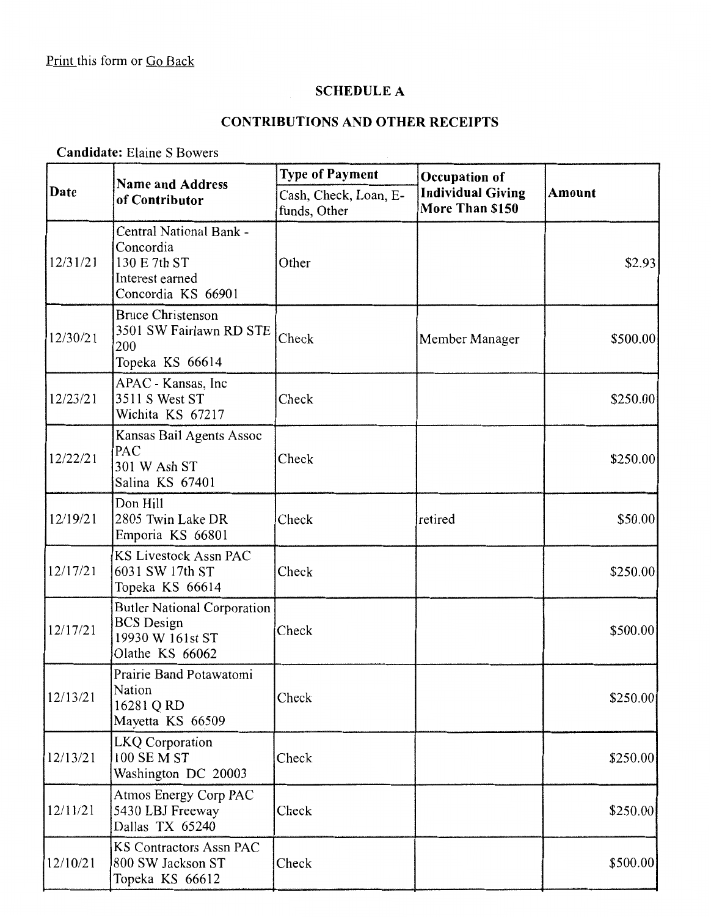# **SCHEDULE A**

# **CONTRIBUTIONS AND OTHER RECEIPTS**

## **Candidate:** Elaine S Bowers

|          | <b>Name and Address</b><br>of Contributor                                                      | <b>Type of Payment</b><br>Occupation of |                                             |               |
|----------|------------------------------------------------------------------------------------------------|-----------------------------------------|---------------------------------------------|---------------|
| Date     |                                                                                                | Cash, Check, Loan, E-<br>funds, Other   | <b>Individual Giving</b><br>More Than \$150 | <b>Amount</b> |
| 12/31/21 | Central National Bank -<br>Concordia<br>130 E 7th ST<br>Interest earned<br>Concordia KS 66901  | Other                                   |                                             | \$2.93        |
| 12/30/21 | <b>Bruce Christenson</b><br>3501 SW Fairlawn RD STE<br>200<br>Topeka KS 66614                  | Check                                   | Member Manager                              | \$500.00      |
| 12/23/21 | APAC - Kansas, Inc<br>3511 S West ST<br>Wichita KS 67217                                       | Check                                   |                                             | \$250.00      |
| 12/22/21 | Kansas Bail Agents Assoc<br>PAC<br>301 W Ash ST<br>Salina KS 67401                             | Check                                   |                                             | \$250.00      |
| 12/19/21 | Don Hill<br>2805 Twin Lake DR<br>Emporia KS 66801                                              | Check                                   | retired                                     | \$50.00       |
| 12/17/21 | KS Livestock Assn PAC<br>6031 SW 17th ST<br>Topeka KS 66614                                    | Check                                   |                                             | \$250.00      |
| 12/17/21 | <b>Butler National Corporation</b><br><b>BCS</b> Design<br>19930 W 161st ST<br>Olathe KS 66062 | Check                                   |                                             | \$500.00      |
| 12/13/21 | Prairie Band Potawatomi<br>Nation<br>16281 Q RD<br>Mayetta KS 66509                            | Check                                   |                                             | \$250.00      |
| 12/13/21 | <b>LKQ</b> Corporation<br>100 SE M ST<br>Washington DC 20003                                   | Check                                   |                                             | \$250.00      |
| 12/11/21 | Atmos Energy Corp PAC<br>5430 LBJ Freeway<br>Dallas TX 65240                                   | Check                                   |                                             | \$250.00      |
| 12/10/21 | <b>KS Contractors Assn PAC</b><br>800 SW Jackson ST<br>Topeka KS 66612                         | Check                                   |                                             | \$500.00      |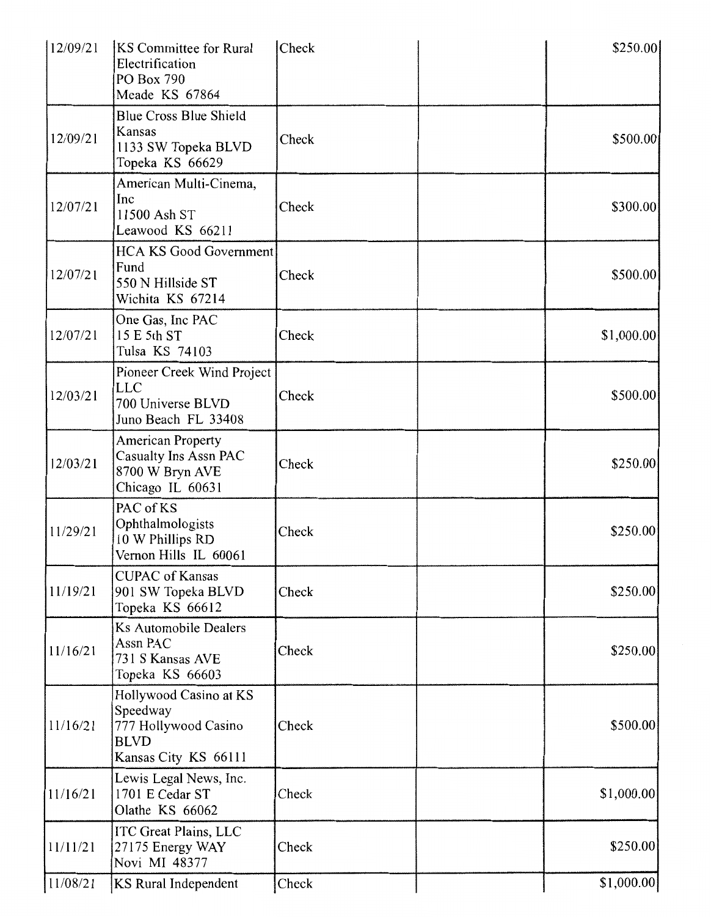| 12/09/21 | <b>KS</b> Committee for Rural<br>Electrification<br>PO Box 790<br>Meade KS 67864                  | Check | \$250.00   |
|----------|---------------------------------------------------------------------------------------------------|-------|------------|
| 12/09/21 | <b>Blue Cross Blue Shield</b><br>Kansas<br>1133 SW Topeka BLVD<br>Topeka KS 66629                 | Check | \$500.00   |
| 12/07/21 | American Multi-Cinema,<br>Inc<br>11500 Ash ST<br>Leawood KS 66211                                 | Check | \$300.00]  |
| 12/07/21 | <b>HCA KS Good Government</b><br>Fund<br>550 N Hillside ST<br>Wichita KS 67214                    | Check | \$500.00   |
| 12/07/21 | One Gas, Inc PAC<br>15 E 5th ST<br>Tulsa KS 74103                                                 | Check | \$1,000.00 |
| 12/03/21 | Pioneer Creek Wind Project<br><b>LLC</b><br>700 Universe BLVD<br>Juno Beach FL 33408              | Check | \$500.00   |
| 12/03/21 | <b>American Property</b><br>Casualty Ins Assn PAC<br>8700 W Bryn AVE<br>Chicago IL 60631          | Check | \$250.00   |
| 11/29/21 | PAC of KS<br>Ophthalmologists<br>10 W Phillips RD<br>Vernon Hills IL 60061                        | Check | \$250.00   |
| 11/19/21 | <b>CUPAC</b> of Kansas<br>901 SW Topeka BLVD<br>Topeka KS 66612                                   | Check | \$250.00   |
| 11/16/21 | <b>Ks Automobile Dealers</b><br>Assn PAC<br>731 S Kansas AVE<br>Topeka KS 66603                   | Check | \$250.00   |
| 11/16/21 | Hollywood Casino at KS<br>Speedway<br>777 Hollywood Casino<br><b>BLVD</b><br>Kansas City KS 66111 | Check | \$500.00]  |
| 11/16/21 | Lewis Legal News, Inc.<br>1701 E Cedar ST<br>Olathe KS 66062                                      | Check | \$1,000.00 |
| 11/11/21 | <b>ITC Great Plains, LLC</b><br>27175 Energy WAY<br>Novi MI 48377                                 | Check | \$250.00   |
| 11/08/21 | <b>KS</b> Rural Independent                                                                       | Check | \$1,000.00 |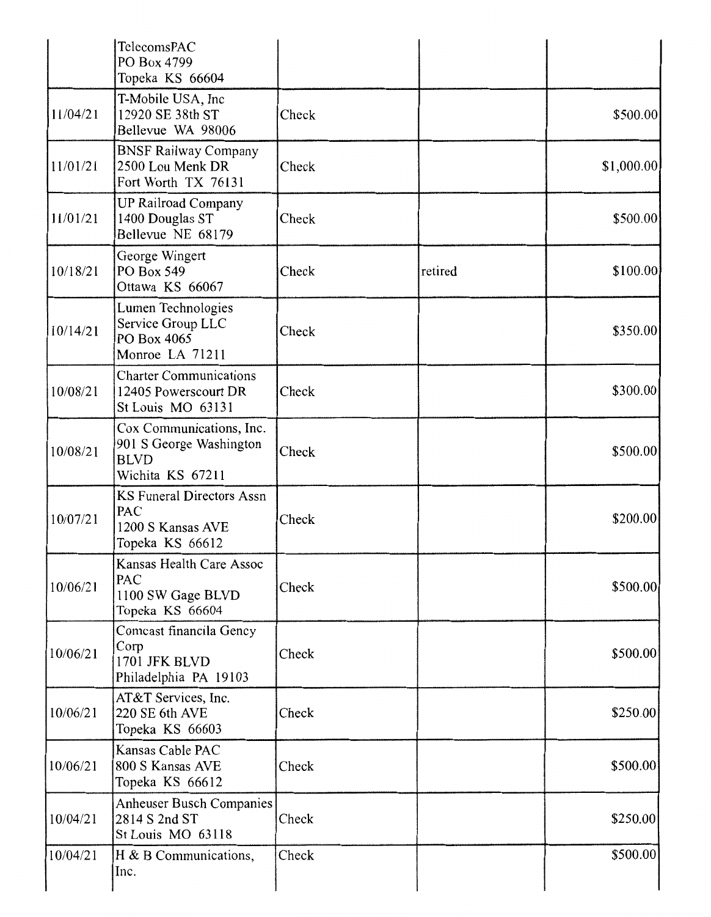|          | TelecomsPAC<br>PO Box 4799<br>Topeka KS 66604                                          |       |         |            |
|----------|----------------------------------------------------------------------------------------|-------|---------|------------|
| 11/04/21 | T-Mobile USA, Inc<br>12920 SE 38th ST<br>Bellevue WA 98006                             | Check |         | \$500.00   |
| 11/01/21 | <b>BNSF Railway Company</b><br>2500 Lou Menk DR<br>Fort Worth TX 76131                 | Check |         | \$1,000.00 |
| 11/01/21 | <b>UP Railroad Company</b><br>1400 Douglas ST<br>Bellevue NE 68179                     | Check |         | \$500.00   |
| 10/18/21 | George Wingert<br>PO Box 549<br>Ottawa KS 66067                                        | Check | retired | \$100.00   |
| 10/14/21 | Lumen Technologies<br>Service Group LLC<br>PO Box 4065<br>Monroe LA 71211              | Check |         | \$350.00   |
| 10/08/21 | <b>Charter Communications</b><br>12405 Powerscourt DR<br>St Louis MO 63131             | Check |         | \$300.00   |
| 10/08/21 | Cox Communications, Inc.<br>901 S George Washington<br><b>BLVD</b><br>Wichita KS 67211 | Check |         | \$500.00   |
| 10/07/21 | <b>KS Funeral Directors Assn</b><br>PAC<br>1200 S Kansas AVE<br>Topeka KS 66612        | Check |         | \$200.00   |
| 10/06/21 | Kansas Health Care Assoc<br>PAC<br>1100 SW Gage BLVD<br>Topeka KS 66604                | Check |         | \$500.00   |
| 10/06/21 | Comcast financila Gency<br>Corp<br>1701 JFK BLVD<br>Philadelphia PA 19103              | Check |         | \$500.00   |
| 10/06/21 | AT&T Services, Inc.<br>220 SE 6th AVE<br>Topeka KS 66603                               | Check |         | \$250.00   |
| 10/06/21 | Kansas Cable PAC<br>800 S Kansas AVE<br>Topeka KS 66612                                | Check |         | \$500.00   |
| 10/04/21 | Anheuser Busch Companies<br>2814 S 2nd ST<br>St Louis MO 63118                         | Check |         | \$250.00   |
| 10/04/21 | H & B Communications,<br>Inc.                                                          | Check |         | \$500.00   |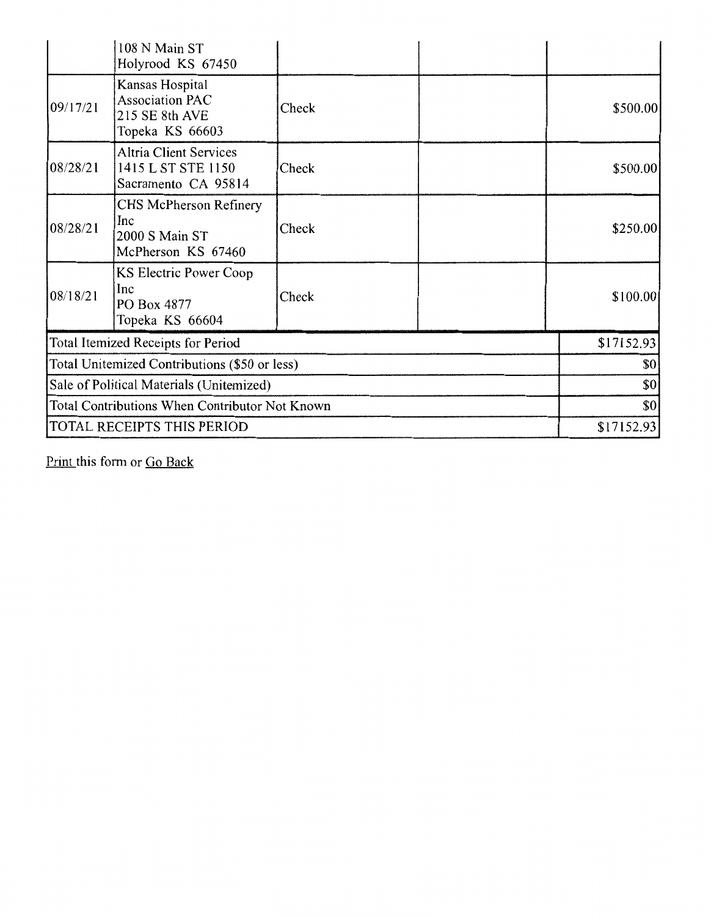|                                                | 108 N Main ST<br>Holyrood KS 67450                                             |       |            |
|------------------------------------------------|--------------------------------------------------------------------------------|-------|------------|
| 09/17/21                                       | Kansas Hospital<br><b>Association PAC</b><br>215 SE 8th AVE<br>Topeka KS 66603 | Check | \$500.00   |
| 08/28/21                                       | <b>Altria Client Services</b><br>1415 L ST STE 1150<br>Sacramento CA 95814     | Check | \$500.00   |
| 08/28/21                                       | CHS McPherson Refinery<br>Inc<br>2000 S Main ST<br>McPherson KS 67460          | Check | \$250.00   |
| 08/18/21                                       | KS Electric Power Coop<br>Inc<br>PO Box 4877<br>Topeka KS 66604                | Check | \$100.00]  |
|                                                | Total Itemized Receipts for Period                                             |       | \$17152.93 |
| Total Unitemized Contributions (\$50 or less)  |                                                                                |       | \$0        |
| Sale of Political Materials (Unitemized)       |                                                                                |       | \$0        |
| Total Contributions When Contributor Not Known |                                                                                |       | \$0        |
|                                                | TOTAL RECEIPTS THIS PERIOD                                                     |       | \$17152.93 |

Print this form or Go Back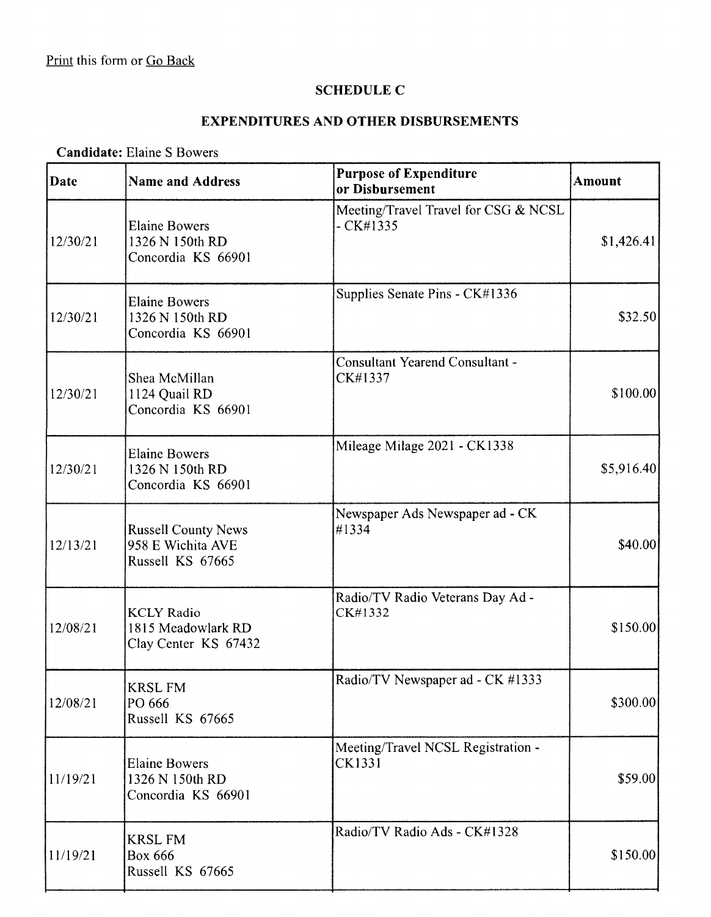#### **SCHEDULE C**

# **EXPENDITURES AND OTHER DISBURSEMENTS**

 $\overline{\phantom{a}}$ 

## **Candidate:** Elaine S Bowers

| Date     | <b>Name and Address</b>                                             | <b>Purpose of Expenditure</b><br>or Disbursement   | <b>Amount</b> |
|----------|---------------------------------------------------------------------|----------------------------------------------------|---------------|
| 12/30/21 | <b>Elaine Bowers</b><br>1326 N 150th RD<br>Concordia KS 66901       | Meeting/Travel Travel for CSG & NCSL<br>$-CK#1335$ | \$1,426.41    |
| 12/30/21 | <b>Elaine Bowers</b><br>1326 N 150th RD<br>Concordia KS 66901       | Supplies Senate Pins - CK#1336                     | \$32.50]      |
| 12/30/21 | Shea McMillan<br>1124 Quail RD<br>Concordia KS 66901                | <b>Consultant Yearend Consultant -</b><br>CK#1337  | \$100.00]     |
| 12/30/21 | <b>Elaine Bowers</b><br>1326 N 150th RD<br>Concordia KS 66901       | Mileage Milage 2021 - CK1338                       | \$5,916.40    |
| 12/13/21 | <b>Russell County News</b><br>958 E Wichita AVE<br>Russell KS 67665 | Newspaper Ads Newspaper ad - CK<br>#1334           | \$40.00]      |
| 12/08/21 | <b>KCLY Radio</b><br>1815 Meadowlark RD<br>Clay Center KS 67432     | Radio/TV Radio Veterans Day Ad -<br>CK#1332        | \$150.00      |
| 12/08/21 | KRSL FM<br>PO 666<br>Russell KS 67665                               | Radio/TV Newspaper ad - CK #1333                   | \$300.00      |
| 11/19/21 | <b>Elaine Bowers</b><br>1326 N 150th RD<br>Concordia KS 66901       | Meeting/Travel NCSL Registration -<br>CK1331       | \$59.00       |
| 11/19/21 | <b>KRSL FM</b><br><b>Box 666</b><br>Russell KS 67665                | Radio/TV Radio Ads - CK#1328                       | \$150.00      |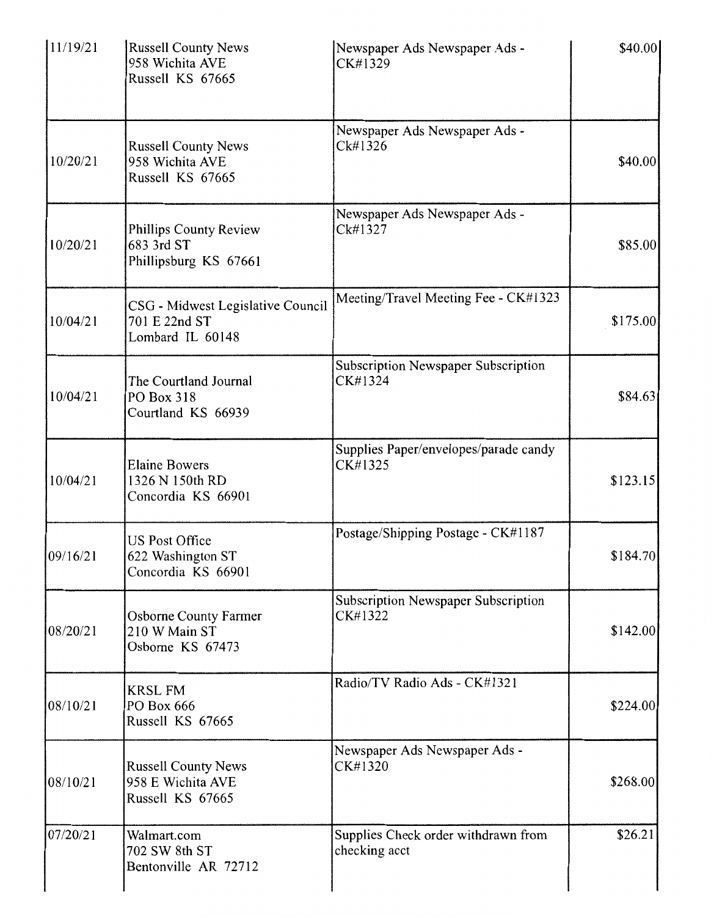| 11/19/21 | <b>Russell County News</b><br>958 Wichita AVE<br>Russell KS 67665      | Newspaper Ads Newspaper Ads -<br>CK#1329             | \$40.00]  |
|----------|------------------------------------------------------------------------|------------------------------------------------------|-----------|
| 10/20/21 | <b>Russell County News</b><br>958 Wichita AVE<br>Russell KS 67665      | Newspaper Ads Newspaper Ads -<br>Ck#1326             | \$40.00   |
| 10/20/21 | Phillips County Review<br>683 3rd ST<br>Phillipsburg KS 67661          | Newspaper Ads Newspaper Ads -<br>Ck#1327             | \$85.00   |
| 10/04/21 | CSG - Midwest Legislative Council<br>701 E 22nd ST<br>Lombard IL 60148 | Meeting/Travel Meeting Fee - CK#1323                 | \$175.00  |
| 10/04/21 | The Courtland Journal<br>PO Box 318<br>Courtland KS 66939              | Subscription Newspaper Subscription<br>CK#1324       | \$84.63   |
| 10/04/21 | <b>Elaine Bowers</b><br>1326 N 150th RD<br>Concordia KS 66901          | Supplies Paper/envelopes/parade candy<br>CK#1325     | \$123.15  |
| 09/16/21 | <b>US Post Office</b><br>622 Washington ST<br>Concordia KS 66901       | Postage/Shipping Postage - CK#1187                   | \$184.70] |
| 08/20/21 | Osborne County Farmer<br>210 W Main ST<br>Osborne KS 67473             | Subscription Newspaper Subscription<br>CK#1322       | \$142.00  |
| 08/10/21 | <b>KRSL FM</b><br>PO Box 666<br>Russell KS 67665                       | Radio/TV Radio Ads - CK#1321                         | \$224.00  |
| 08/10/21 | <b>Russell County News</b><br>958 E Wichita AVE<br>Russell KS 67665    | Newspaper Ads Newspaper Ads -<br>CK#1320             | \$268.00  |
| 07/20/21 | Walmart.com<br>702 SW 8th ST<br>Bentonville AR 72712                   | Supplies Check order withdrawn from<br>checking acct | \$26.21   |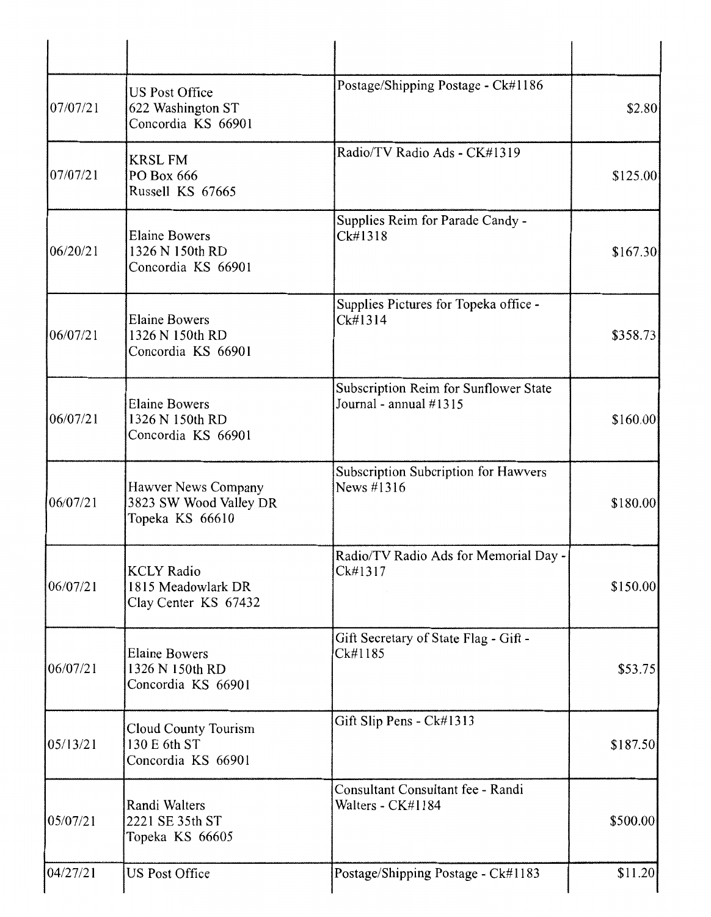| 07/07/21 | <b>US Post Office</b><br>622 Washington ST<br>Concordia KS 66901 | Postage/Shipping Postage - Ck#1186                              | \$2.80   |
|----------|------------------------------------------------------------------|-----------------------------------------------------------------|----------|
| 07/07/21 | <b>KRSL FM</b><br>PO Box 666<br>Russell KS 67665                 | Radio/TV Radio Ads - CK#1319                                    | \$125.00 |
| 06/20/21 | <b>Elaine Bowers</b><br>1326 N 150th RD<br>Concordia KS 66901    | Supplies Reim for Parade Candy -<br>Ck#1318                     | \$167.30 |
| 06/07/21 | <b>Elaine Bowers</b><br>1326 N 150th RD<br>Concordia KS 66901    | Supplies Pictures for Topeka office -<br>Ck#1314                | \$358.73 |
| 06/07/21 | <b>Elaine Bowers</b><br>1326 N 150th RD<br>Concordia KS 66901    | Subscription Reim for Sunflower State<br>Journal - annual #1315 | \$160.00 |
| 06/07/21 | Hawver News Company<br>3823 SW Wood Valley DR<br>Topeka KS 66610 | Subscription Subcription for Hawvers<br>News #1316              | \$180.00 |
| 06/07/21 | <b>KCLY Radio</b><br>1815 Meadowlark DR<br>Clay Center KS 67432  | Radio/TV Radio Ads for Memorial Day -<br>Ck#1317                | \$150.00 |
| 06/07/21 | <b>Elaine Bowers</b><br>1326 N 150th RD<br>Concordia KS 66901    | Gift Secretary of State Flag - Gift -<br>Ck#1185                | \$53.75  |
| 05/13/21 | Cloud County Tourism<br>130 E 6th ST<br>Concordia KS 66901       | Gift Slip Pens - Ck#1313                                        | \$187.50 |
| 05/07/21 | Randi Walters<br>2221 SE 35th ST<br>Topeka KS 66605              | Consultant Consultant fee - Randi<br>Walters - CK#1184          | \$500.00 |
| 04/27/21 | <b>US Post Office</b>                                            | Postage/Shipping Postage - Ck#1183                              | \$11.20  |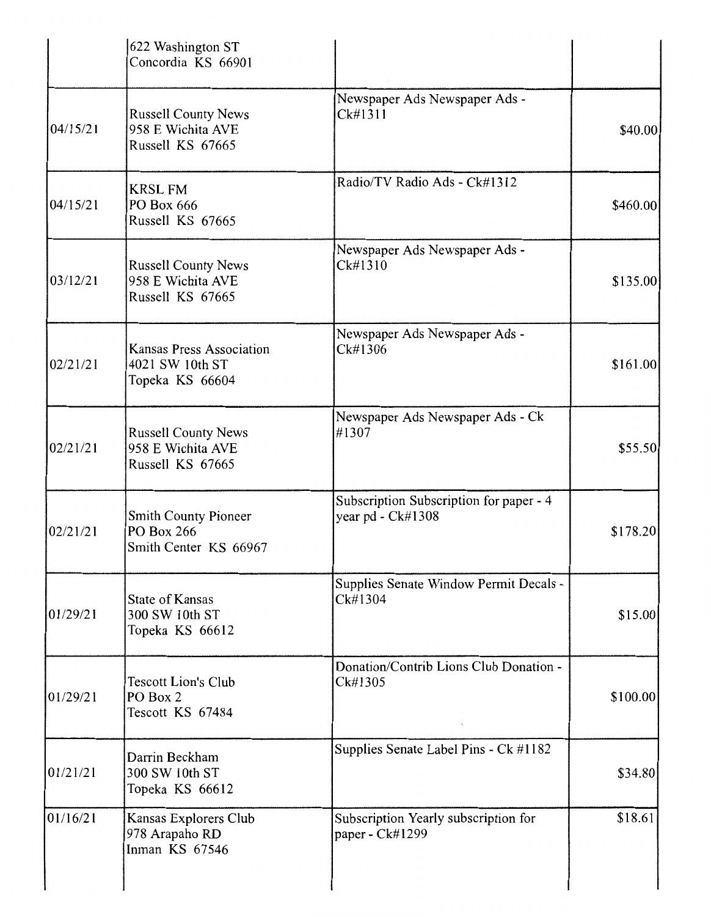|          | 622 Washington ST<br>Concordia KS 66901                               |                                                              |           |
|----------|-----------------------------------------------------------------------|--------------------------------------------------------------|-----------|
| 04/15/21 | <b>Russell County News</b><br>958 E Wichita AVE<br>Russell KS 67665   | Newspaper Ads Newspaper Ads -<br>Ck#1311                     | \$40.00]  |
| 04/15/21 | <b>KRSL FM</b><br>PO Box 666<br>Russell KS 67665                      | Radio/TV Radio Ads - Ck#1312                                 | \$460.00] |
| 03/12/21 | <b>Russell County News</b><br>958 E Wichita AVE<br>Russell KS 67665   | Newspaper Ads Newspaper Ads -<br>Ck#1310                     | \$135.00  |
| 02/21/21 | <b>Kansas Press Association</b><br>4021 SW 10th ST<br>Topeka KS 66604 | Newspaper Ads Newspaper Ads -<br>Ck#1306                     | \$161.00  |
| 02/21/21 | <b>Russell County News</b><br>958 E Wichita AVE<br>Russell KS 67665   | Newspaper Ads Newspaper Ads - Ck<br>#1307                    | \$55.50   |
| 02/21/21 | <b>Smith County Pioneer</b><br>PO Box 266<br>Smith Center KS 66967    | Subscription Subscription for paper - 4<br>year pd - Ck#1308 | \$178.20  |
| 01/29/21 | <b>State of Kansas</b><br>300 SW 10th ST<br>Topeka KS 66612           | Supplies Senate Window Permit Decals -<br>Ck#1304            | \$15.00   |
| 01/29/21 | <b>Tescott Lion's Club</b><br>PO Box 2<br>Tescott KS 67484            | Donation/Contrib Lions Club Donation -<br>Ck#1305            | \$100.00  |
| 01/21/21 | Darrin Beckham<br>300 SW 10th ST<br>Topeka KS 66612                   | Supplies Senate Label Pins - Ck #1182                        | \$34.80   |
| 01/16/21 | Kansas Explorers Club<br>978 Arapaho RD<br>Inman KS 67546             | Subscription Yearly subscription for<br>paper - Ck#1299      | \$18.61   |